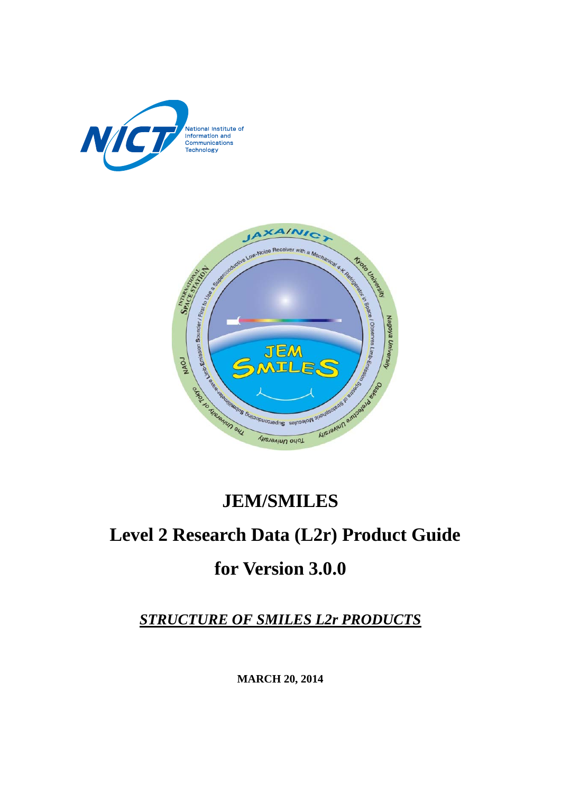



# **JEM/SMILES**

# **Level 2 Research Data (L2r) Product Guide**

# **for Version 3.0.0**

*STRUCTURE OF SMILES L2r PRODUCTS*

**MARCH 20, 2014**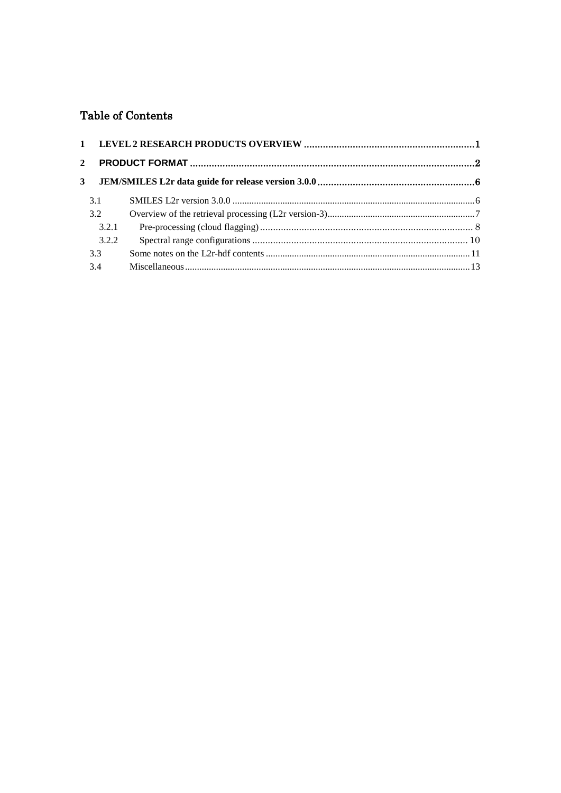# Table of Contents

| $\mathbf{2}^{\mathsf{I}}$ |       |  |  |
|---------------------------|-------|--|--|
| 3.                        |       |  |  |
|                           | 3.1   |  |  |
|                           | 3.2   |  |  |
|                           | 3.2.1 |  |  |
|                           | 3.2.2 |  |  |
|                           | 3.3   |  |  |
|                           | 3.4   |  |  |
|                           |       |  |  |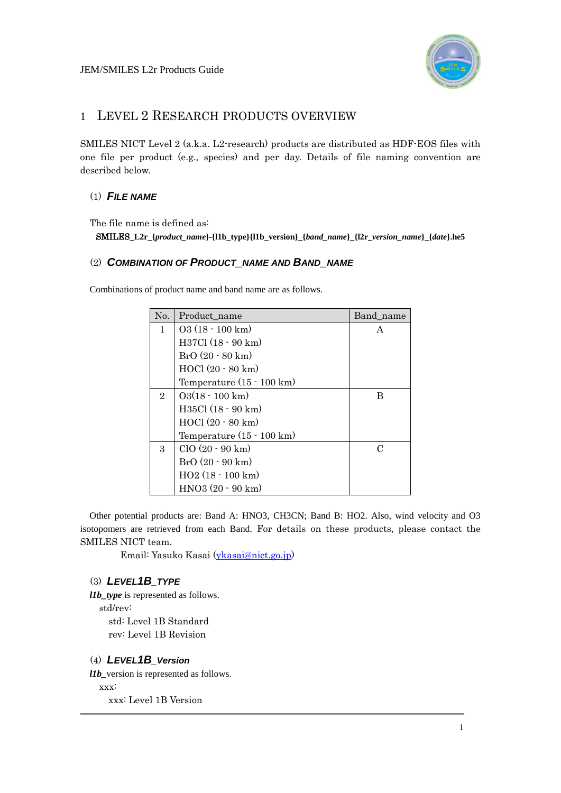

# <span id="page-2-0"></span>1 LEVEL 2 RESEARCH PRODUCTS OVERVIEW

SMILES NICT Level 2 (a.k.a. L2-research) products are distributed as HDF-EOS files with one file per product (e.g., species) and per day. Details of file naming convention are described below.

# (1) *FILE NAME*

The file name is defined as:

SMILES**\_L2r\_{***product\_name***}-{l1b\_type}{l1b\_version}\_{***band\_name***}\_{l2r\_***version\_name***}\_{***date***}.he5**

# (2) *COMBINATION OF PRODUCT\_NAME AND BAND\_NAME*

Combinations of product name and band name are as follows.

| No.            | Product name                        | Band name |
|----------------|-------------------------------------|-----------|
| $\mathbf{1}$   | $O3(18 \cdot 100 \text{ km})$       | A         |
|                | $H37Cl (18 \cdot 90 km)$            |           |
|                | BrO(20.80 km)                       |           |
|                | $HOC1 (20 - 80 km)$                 |           |
|                | Temperature $(15 - 100 \text{ km})$ |           |
| $\overline{2}$ | $O3(18 \cdot 100 \text{ km})$       | В         |
|                | $H35Cl (18-90 km)$                  |           |
|                | $HOC1 (20 - 80 km)$                 |           |
|                | Temperature $(15 - 100 \text{ km})$ |           |
| 3              | $ClO(20-90 km)$                     | C         |
|                | BrO(20.90 km)                       |           |
|                | $HO2 (18 - 100 km)$                 |           |
|                | $HNO3 (20 - 90 km)$                 |           |

Other potential products are: Band A: HNO3, CH3CN; Band B: HO2. Also, wind velocity and O3 isotopomers are retrieved from each Band. For details on these products, please contact the SMILES NICT team.

Email: Yasuko Kasai [\(ykasai@nict.go.jp\)](mailto:ykasai@nict.go.jp)

#### (3) *LEVEL1B\_TYPE*

 *l1b\_type* is represented as follows. std/rev: std: Level 1B Standard rev: Level 1B Revision

#### (4) *LEVEL1B\_Version*

 *l1b\_*version is represented as follows. xxx:

xxx: Level 1B Version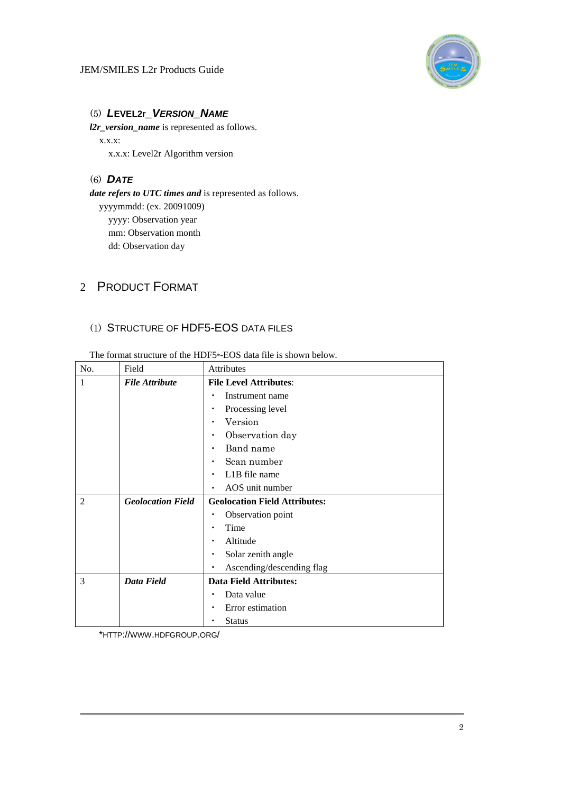

# (5) *L***EVEL2r***\_VERSION\_NAME*

 *l2r\_version\_name* is represented as follows. x.x.x: x.x.x: Level2r Algorithm version

# (6) *DATE*

 *date refers to UTC times and* is represented as follows. yyyymmdd: (ex. 20091009) yyyy: Observation year mm: Observation month dd: Observation day

# <span id="page-3-0"></span>2 PRODUCT FORMAT

# (1) STRUCTURE OF HDF5-EOS DATA FILES

|  | The format structure of the HDF5*-EOS data file is shown below. |
|--|-----------------------------------------------------------------|
|  |                                                                 |

| No.            | Field                    | <b>Attributes</b>                      |  |
|----------------|--------------------------|----------------------------------------|--|
| 1              | <b>File Attribute</b>    | <b>File Level Attributes:</b>          |  |
|                |                          | Instrument name                        |  |
|                |                          | Processing level<br>$\bullet$          |  |
|                |                          | Version<br>$\bullet$                   |  |
|                |                          | Observation day<br>٠                   |  |
|                |                          | Band name<br>$\bullet$                 |  |
|                |                          | Scan number<br>$\bullet$               |  |
|                |                          | L1B file name<br>$\bullet$             |  |
|                |                          | AOS unit number<br>$\bullet$           |  |
|                |                          |                                        |  |
| $\overline{2}$ | <b>Geolocation Field</b> | <b>Geolocation Field Attributes:</b>   |  |
|                |                          | Observation point                      |  |
|                |                          | Time<br>$\bullet$                      |  |
|                |                          | Altitude<br>$\bullet$                  |  |
|                |                          | Solar zenith angle<br>$\bullet$        |  |
|                |                          | Ascending/descending flag<br>$\bullet$ |  |
| 3              | Data Field               | <b>Data Field Attributes:</b>          |  |
|                |                          | Data value                             |  |
|                |                          | Error estimation                       |  |

\*HTTP://WWW.HDFGROUP.ORG/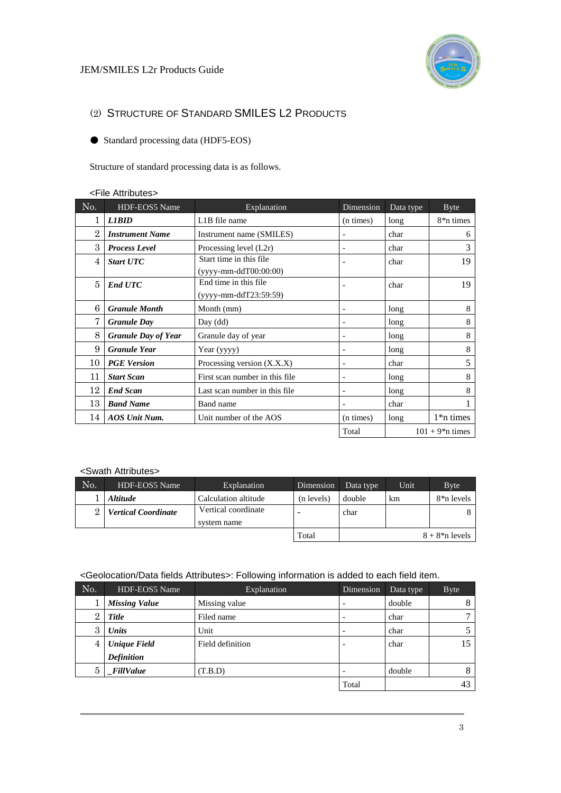

# (2) STRUCTURE OF STANDARD SMILES L2 PRODUCTS

# ● Standard processing data (HDF5-EOS)

Structure of standard processing data is as follows.

#### <File Attributes>

| No.                                           | HDF-EOS5 Name              | Explanation                    | Dimension                    | Data type | <b>Byte</b>            |
|-----------------------------------------------|----------------------------|--------------------------------|------------------------------|-----------|------------------------|
| 1                                             | <b>LIBID</b>               | L1B file name                  | (n times)                    | long      | 8 <sup>*</sup> n times |
| $\overline{2}$                                | <b>Instrument Name</b>     | Instrument name (SMILES)       | $\overline{\phantom{0}}$     | char      | 6                      |
| 3                                             | <b>Process Level</b>       | Processing level (L2r)         |                              | char      | 3                      |
| 4                                             | <b>Start UTC</b>           | Start time in this file        |                              | char      | 19                     |
|                                               |                            | (yyyy-mm-ddT00:00:00)          |                              |           |                        |
| 5                                             | <b>End UTC</b>             | End time in this file          | ۰                            | char      | 19                     |
|                                               |                            | (yyyy-mm-ddT23:59:59)          |                              |           |                        |
| 6                                             | <b>Granule Month</b>       | Month (mm)                     | $\overline{\phantom{0}}$     | long      | 8                      |
| 7<br><b>Granule Day</b>                       |                            | Day (dd)                       |                              | long      | 8                      |
| 8                                             | <b>Granule Day of Year</b> | Granule day of year            | $\overline{\phantom{a}}$     | long      | 8                      |
| 9                                             | <b>Granule Year</b>        | Year (yyyy)                    | $\qquad \qquad \blacksquare$ | long      | 8                      |
| 10                                            | <b>PGE</b> Version         | Processing version $(X.X.X)$   |                              | char      | 5                      |
| 11                                            | <b>Start Scan</b>          | First scan number in this file | $\overline{\phantom{0}}$     | long      | 8                      |
| 12<br><b>End Scan</b>                         |                            | Last scan number in this file  | $\overline{\phantom{a}}$     | long      | 8                      |
| 13<br><b>Band Name</b>                        |                            | Band name                      |                              | char      | 1                      |
| 14<br>AOS Unit Num.<br>Unit number of the AOS |                            |                                | (n times)                    | long      | $1*$ n times           |
|                                               |                            |                                | Total                        |           | $101 + 9*$ n times     |

# <Swath Attributes>

| No.            | HDF-EOS5 Name              | Explanation          | Dimension  | Data type | Unit | <b>B</b> yte                  |
|----------------|----------------------------|----------------------|------------|-----------|------|-------------------------------|
|                | <i><b>Altitude</b></i>     | Calculation altitude | (n levels) | double    | km   | 8 <sup>*</sup> n levels       |
| $\overline{2}$ | <b>Vertical Coordinate</b> | Vertical coordinate  |            | char      |      |                               |
|                |                            | system name          |            |           |      |                               |
|                |                            |                      | Total      |           |      | $8 + 8$ <sup>*</sup> n levels |

# <Geolocation/Data fields Attributes>: Following information is added to each field item.

| No.            | HDF-EOS5 Name        | Explanation      | Dimension | Data type | <b>Byte</b> |
|----------------|----------------------|------------------|-----------|-----------|-------------|
|                | <b>Missing Value</b> | Missing value    |           | double    |             |
| $\overline{2}$ | Title                | Filed name       |           | char      |             |
| 3              | Units                | Unit             |           | char      |             |
| $\overline{4}$ | <b>Unique Field</b>  | Field definition |           | char      | 15          |
|                | <b>Definition</b>    |                  |           |           |             |
| 5              | <b>FillValue</b>     | (T.B.D)          |           | double    |             |
|                |                      |                  | Total     |           | 43          |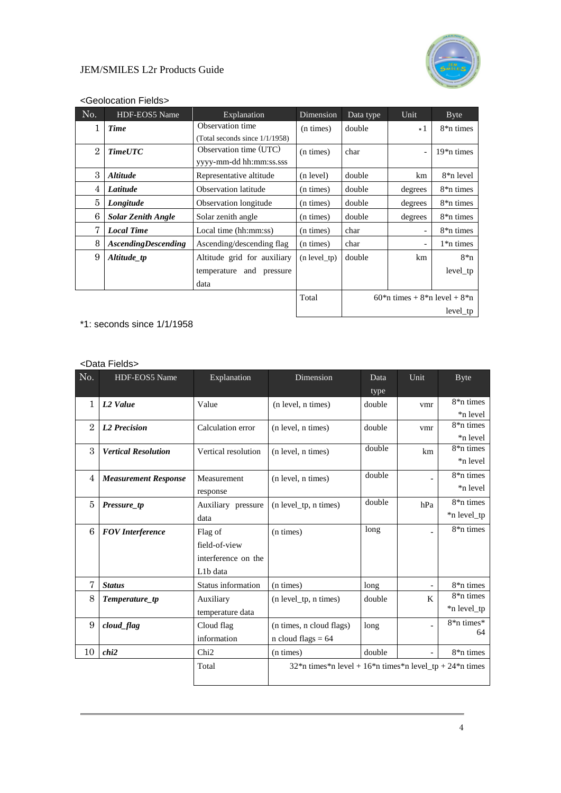

# <Geolocation Fields>

| No.<br>HDF-EOS5 Name           |                            | Explanation                    | Dimension     | Data type | Unit                                  | <b>Byte</b>            |
|--------------------------------|----------------------------|--------------------------------|---------------|-----------|---------------------------------------|------------------------|
| Observation time<br>1<br>Time  |                            |                                | (n times)     | double    | $*1$                                  | 8 <sup>*</sup> n times |
|                                |                            | (Total seconds since 1/1/1958) |               |           |                                       |                        |
| $\overline{2}$                 | <b>TimeUTC</b>             | Observation time (UTC)         | (n times)     | char      |                                       | $19*$ n times          |
|                                |                            | yyyy-mm-dd hh:mm:ss.sss        |               |           |                                       |                        |
| 3                              | <b>Altitude</b>            | Representative altitude        | (n level)     | double    | km                                    | 8 <sup>*</sup> n level |
| 4<br><i>Latitude</i>           |                            | <b>Observation latitude</b>    | (n times)     | double    | degrees                               | 8 <sup>*</sup> n times |
| 5<br>Longitude                 |                            | Observation longitude          | (n times)     | double    | degrees                               | 8 <sup>*</sup> n times |
| 6<br><b>Solar Zenith Angle</b> |                            | Solar zenith angle             | (n times)     | double    | degrees                               | 8 <sup>*</sup> n times |
| 7<br><b>Local Time</b>         |                            | Local time (hh:mm:ss)          | (n times)     | char      |                                       | 8 <sup>*</sup> n times |
| 8                              | <b>AscendingDescending</b> | Ascending/descending flag      | (n times)     | char      |                                       | $1*$ n times           |
| 9                              | Altitude_tp                | Altitude grid for auxiliary    | $(n level_t)$ | double    | km                                    | $8 \times n$           |
|                                |                            | temperature and pressure       |               |           |                                       | $level_tp$             |
|                                |                            | data                           |               |           |                                       |                        |
|                                |                            |                                | Total         |           | $60*$ n times + $8*$ n level + $8*$ n |                        |
|                                |                            |                                |               |           |                                       | $level_tp$             |

#### \*1: seconds since 1/1/1958

#### <Data Fields>

| No.            | HDF-EOS5 Name               | Explanation         | Dimension                                                  | Data   | Unit           | <b>B</b> yte                              |
|----------------|-----------------------------|---------------------|------------------------------------------------------------|--------|----------------|-------------------------------------------|
|                |                             |                     |                                                            | type   |                |                                           |
| $\mathbf{1}$   | L <sub>2</sub> Value        | Value               | (n level, n times)                                         | double | vmr            | 8*n times                                 |
|                |                             |                     |                                                            |        |                | *n level                                  |
| $\overline{2}$ | <b>L2</b> Precision         | Calculation error   | (n level, n times)                                         | double | vmr            | 8 <sup>*</sup> n times                    |
|                |                             |                     |                                                            |        |                | *n level                                  |
| 3              | <b>Vertical Resolution</b>  | Vertical resolution | (n level, n times)                                         | double | km             | $8*$ n times                              |
|                |                             |                     |                                                            |        |                | *n level                                  |
| 4              | <b>Measurement Response</b> | Measurement         | (n level, n times)                                         | double |                | 8*n times                                 |
|                |                             | response            |                                                            |        |                | *n level                                  |
| 5              | Pressure tp                 | Auxiliary pressure  | $(n level_t, n times)$                                     | double | hPa            | $8*$ n times                              |
|                |                             | data                |                                                            |        |                | *n level_tp                               |
| 6              | <b>FOV</b> Interference     | Flag of             | (n times)                                                  | long   |                | 8 <sup>*</sup> n times                    |
|                |                             | field-of-view       |                                                            |        |                |                                           |
|                |                             | interference on the |                                                            |        |                |                                           |
|                |                             | L1b data            |                                                            |        |                |                                           |
| 7              | <b>Status</b>               | Status information  | (n times)                                                  | long   | $\overline{a}$ | 8*n times                                 |
|                |                             |                     |                                                            |        |                | 8*n times                                 |
| 8              | Temperature_tp              | Auxiliary           | $(n level_t, n times)$                                     | double | K              | *n level_tp                               |
|                |                             | temperature data    |                                                            |        |                |                                           |
| 9              | cloud flag                  | Cloud flag          | (n times, n cloud flags)                                   | long   | $\overline{a}$ | 8 <sup>*</sup> n times <sup>*</sup><br>64 |
|                |                             | information         | $n$ cloud flags = 64                                       |        |                |                                           |
| 10             | chi2                        | Chi <sub>2</sub>    | (n times)                                                  | double |                | 8 <sup>*</sup> n times                    |
|                |                             | Total               | $32*$ n times*n level + 16*n times*n level_tp + 24*n times |        |                |                                           |
|                |                             |                     |                                                            |        |                |                                           |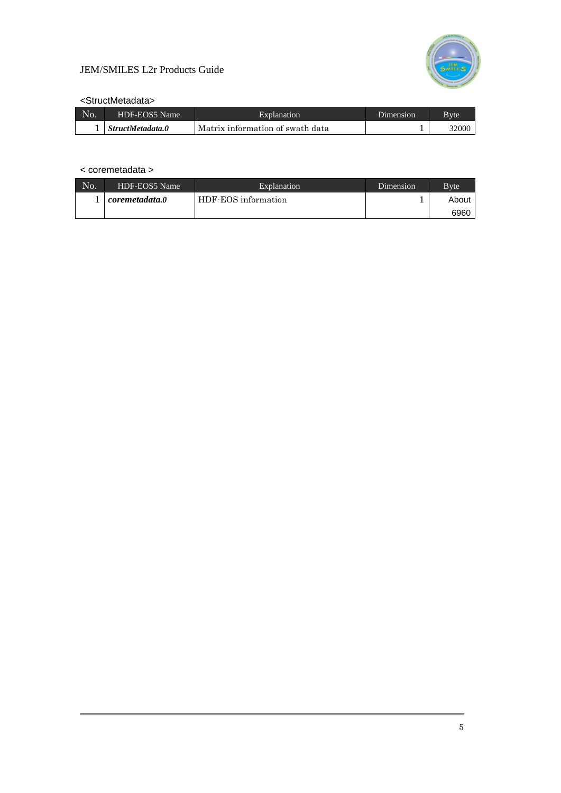

# <StructMetadata>

| No. | HDF-EOS5 Name                                        | Explanation | Dimension | Bvte  |
|-----|------------------------------------------------------|-------------|-----------|-------|
|     | Matrix information of swath data<br>StructMetadata.0 |             |           | 32000 |

#### < coremetadata >

| No. | HDF-EOS5 Name                 | Explanation         | Dimension | <b>B</b> vte |
|-----|-------------------------------|---------------------|-----------|--------------|
|     | $\blacksquare$ coremetadata.0 | HDF-EOS information |           | About        |
|     |                               |                     |           | 6960         |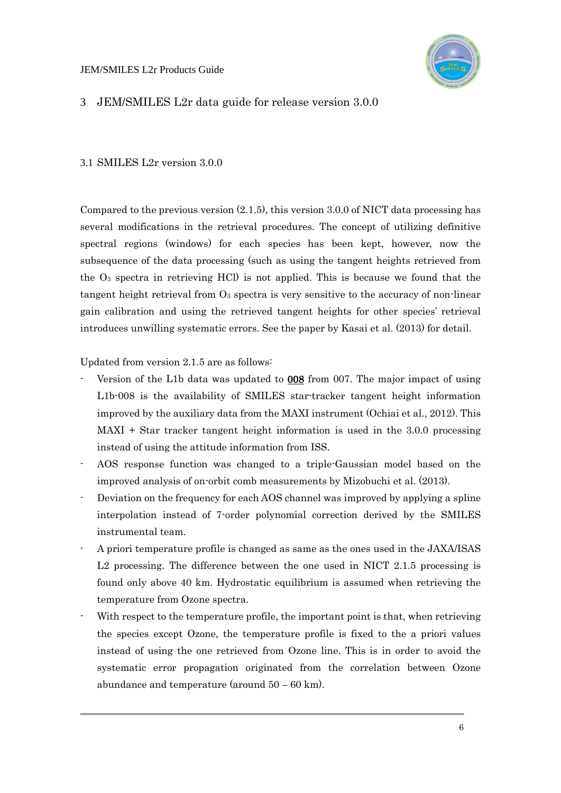

# <span id="page-7-0"></span>3 JEM/SMILES L2r data guide for release version 3.0.0

# <span id="page-7-1"></span>3.1 SMILES L2r version 3.0.0

Compared to the previous version (2.1.5), this version 3.0.0 of NICT data processing has several modifications in the retrieval procedures. The concept of utilizing definitive spectral regions (windows) for each species has been kept, however, now the subsequence of the data processing (such as using the tangent heights retrieved from the O3 spectra in retrieving HCl) is not applied. This is because we found that the tangent height retrieval from  $O_3$  spectra is very sensitive to the accuracy of non-linear gain calibration and using the retrieved tangent heights for other species' retrieval introduces unwilling systematic errors. See the paper by Kasai et al. (2013) for detail.

Updated from version 2.1.5 are as follows:

- Version of the L1b data was updated to 008 from 007. The major impact of using L1b-008 is the availability of SMILES star-tracker tangent height information improved by the auxiliary data from the MAXI instrument (Ochiai et al., 2012). This  $MAXI + Star$  tracker tangent height information is used in the 3.0.0 processing instead of using the attitude information from ISS.
- AOS response function was changed to a triple-Gaussian model based on the improved analysis of on-orbit comb measurements by Mizobuchi et al. (2013).
- Deviation on the frequency for each AOS channel was improved by applying a spline interpolation instead of 7-order polynomial correction derived by the SMILES instrumental team.
- A priori temperature profile is changed as same as the ones used in the JAXA/ISAS L<sub>2</sub> processing. The difference between the one used in NICT 2.1.5 processing is found only above 40 km. Hydrostatic equilibrium is assumed when retrieving the temperature from Ozone spectra.
- With respect to the temperature profile, the important point is that, when retrieving the species except Ozone, the temperature profile is fixed to the a priori values instead of using the one retrieved from Ozone line. This is in order to avoid the systematic error propagation originated from the correlation between Ozone abundance and temperature (around 50 – 60 km).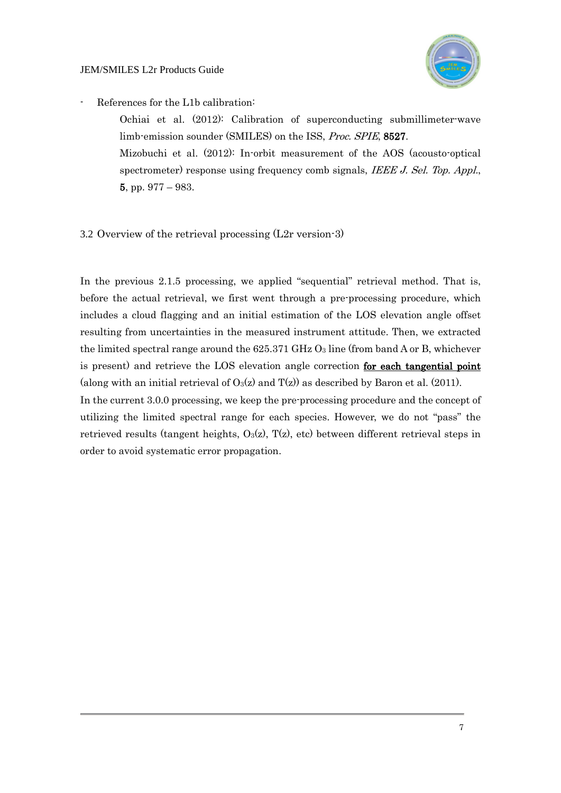

References for the L1b calibration:

Ochiai et al. (2012): Calibration of superconducting submillimeter-wave limb-emission sounder (SMILES) on the ISS, Proc. SPIE, 8527. Mizobuchi et al. (2012): In-orbit measurement of the AOS (acousto-optical spectrometer) response using frequency comb signals, IEEE J. Sel. Top. Appl., 5, pp. 977 – 983.

<span id="page-8-0"></span>3.2 Overview of the retrieval processing (L2r version-3)

In the previous 2.1.5 processing, we applied "sequential" retrieval method. That is, before the actual retrieval, we first went through a pre-processing procedure, which includes a cloud flagging and an initial estimation of the LOS elevation angle offset resulting from uncertainties in the measured instrument attitude. Then, we extracted the limited spectral range around the  $625.371 \text{ GHz O}_3$  line (from band A or B, whichever is present) and retrieve the LOS elevation angle correction for each tangential point (along with an initial retrieval of  $O_3(z)$  and  $T(z)$ ) as described by Baron et al. (2011). In the current 3.0.0 processing, we keep the pre-processing procedure and the concept of utilizing the limited spectral range for each species. However, we do not "pass" the retrieved results (tangent heights,  $O_3(z)$ ,  $T(z)$ , etc) between different retrieval steps in order to avoid systematic error propagation.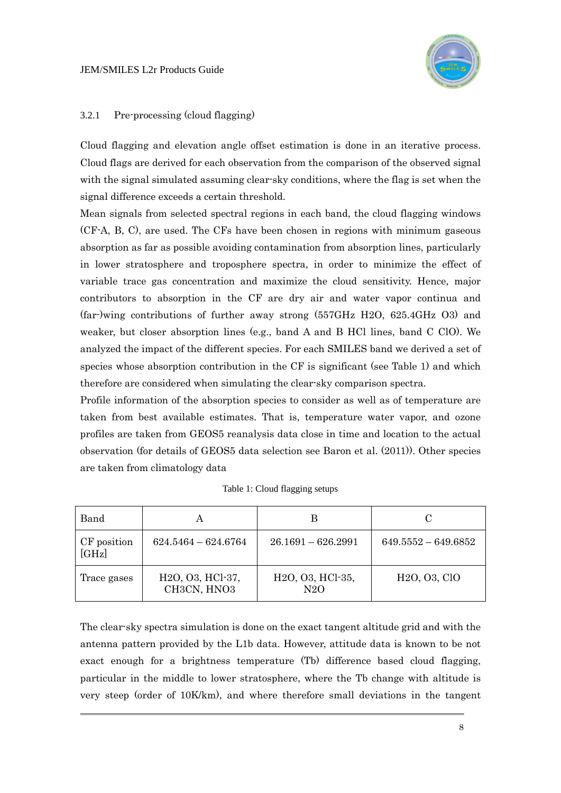

#### <span id="page-9-0"></span>3.2.1 Pre-processing (cloud flagging)

Cloud flagging and elevation angle offset estimation is done in an iterative process. Cloud flags are derived for each observation from the comparison of the observed signal with the signal simulated assuming clear-sky conditions, where the flag is set when the signal difference exceeds a certain threshold.

Mean signals from selected spectral regions in each band, the cloud flagging windows (CF-A, B, C), are used. The CFs have been chosen in regions with minimum gaseous absorption as far as possible avoiding contamination from absorption lines, particularly in lower stratosphere and troposphere spectra, in order to minimize the effect of variable trace gas concentration and maximize the cloud sensitivity. Hence, major contributors to absorption in the CF are dry air and water vapor continua and (far-)wing contributions of further away strong (557GHz H2O, 625.4GHz O3) and weaker, but closer absorption lines (e.g., band A and B HCl lines, band C ClO). We analyzed the impact of the different species. For each SMILES band we derived a set of species whose absorption contribution in the CF is significant (see [Table 1\)](#page-9-1) and which therefore are considered when simulating the clear-sky comparison spectra.

Profile information of the absorption species to consider as well as of temperature are taken from best available estimates. That is, temperature water vapor, and ozone profiles are taken from GEOS5 reanalysis data close in time and location to the actual observation (for details of GEOS5 data selection see Baron et al. (2011)). Other species are taken from climatology data

<span id="page-9-1"></span>

| Band                 | А                               |                                                   |                                                     |
|----------------------|---------------------------------|---------------------------------------------------|-----------------------------------------------------|
| CF position<br>[GHz] | $624.5464 - 624.6764$           | $26.1691 - 626.2991$                              | $649.5552 - 649.6852$                               |
| Trace gases          | H2O, O3, HCl-37,<br>CH3CN, HNO3 | H <sub>2</sub> O, O <sub>3</sub> , HCl-35,<br>N2O | H <sub>2</sub> O, O <sub>3</sub> , C <sub>1</sub> O |

Table 1: Cloud flagging setups

The clear-sky spectra simulation is done on the exact tangent altitude grid and with the antenna pattern provided by the L1b data. However, attitude data is known to be not exact enough for a brightness temperature (Tb) difference based cloud flagging, particular in the middle to lower stratosphere, where the Tb change with altitude is very steep (order of 10K/km), and where therefore small deviations in the tangent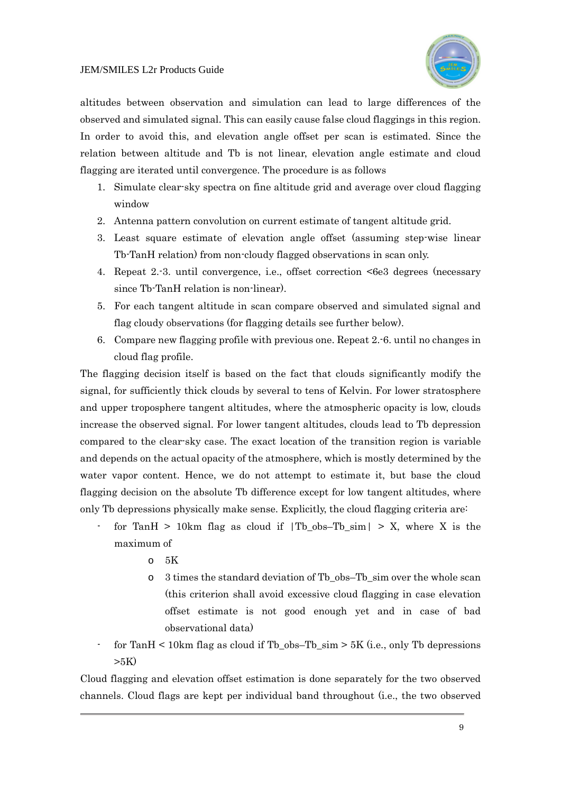

altitudes between observation and simulation can lead to large differences of the observed and simulated signal. This can easily cause false cloud flaggings in this region. In order to avoid this, and elevation angle offset per scan is estimated. Since the relation between altitude and Tb is not linear, elevation angle estimate and cloud flagging are iterated until convergence. The procedure is as follows

- 1. Simulate clear-sky spectra on fine altitude grid and average over cloud flagging window
- 2. Antenna pattern convolution on current estimate of tangent altitude grid.
- 3. Least square estimate of elevation angle offset (assuming step-wise linear Tb-TanH relation) from non-cloudy flagged observations in scan only.
- 4. Repeat 2.-3. until convergence, i.e., offset correction <6e3 degrees (necessary since Tb-TanH relation is non-linear).
- 5. For each tangent altitude in scan compare observed and simulated signal and flag cloudy observations (for flagging details see further below).
- 6. Compare new flagging profile with previous one. Repeat 2.-6. until no changes in cloud flag profile.

The flagging decision itself is based on the fact that clouds significantly modify the signal, for sufficiently thick clouds by several to tens of Kelvin. For lower stratosphere and upper troposphere tangent altitudes, where the atmospheric opacity is low, clouds increase the observed signal. For lower tangent altitudes, clouds lead to Tb depression compared to the clear-sky case. The exact location of the transition region is variable and depends on the actual opacity of the atmosphere, which is mostly determined by the water vapor content. Hence, we do not attempt to estimate it, but base the cloud flagging decision on the absolute Tb difference except for low tangent altitudes, where only Tb depressions physically make sense. Explicitly, the cloud flagging criteria are:

- for TanH > 10km flag as cloud if  $|Tb_{\text{obs}}-Tb_{\text{sim}}|$  > X, where X is the maximum of
	- $\circ$  5K
	- o 3 times the standard deviation of Tb\_obs–Tb\_sim over the whole scan (this criterion shall avoid excessive cloud flagging in case elevation offset estimate is not good enough yet and in case of bad observational data)
- for TanH  $\leq 10$ km flag as cloud if Tb  $obs$ –Tb  $\sin \geq 5K$  (i.e., only Tb depressions  $>5K$

Cloud flagging and elevation offset estimation is done separately for the two observed channels. Cloud flags are kept per individual band throughout (i.e., the two observed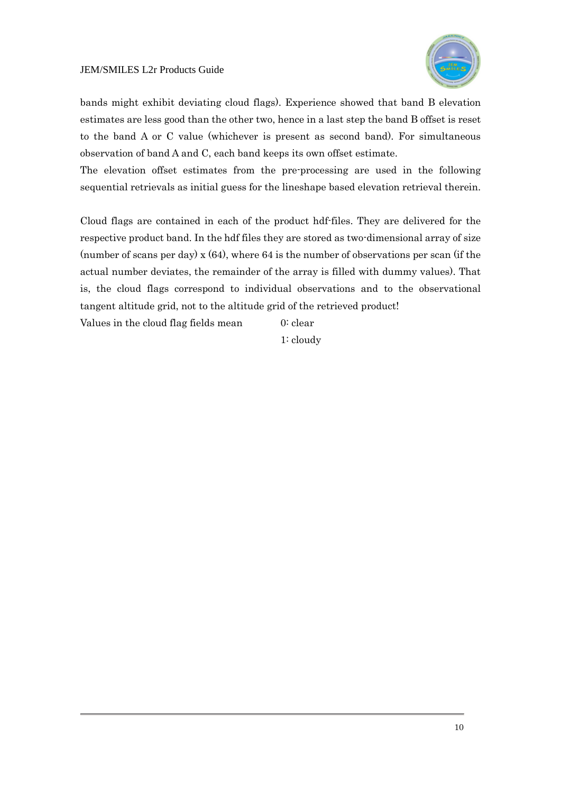

bands might exhibit deviating cloud flags). Experience showed that band B elevation estimates are less good than the other two, hence in a last step the band B offset is reset to the band A or C value (whichever is present as second band). For simultaneous observation of band A and C, each band keeps its own offset estimate.

The elevation offset estimates from the pre-processing are used in the following sequential retrievals as initial guess for the lineshape based elevation retrieval therein.

Cloud flags are contained in each of the product hdf-files. They are delivered for the respective product band. In the hdf files they are stored as two-dimensional array of size (number of scans per day)  $x(64)$ , where 64 is the number of observations per scan (if the actual number deviates, the remainder of the array is filled with dummy values). That is, the cloud flags correspond to individual observations and to the observational tangent altitude grid, not to the altitude grid of the retrieved product!

<span id="page-11-0"></span>Values in the cloud flag fields mean 0: clear

1: cloudy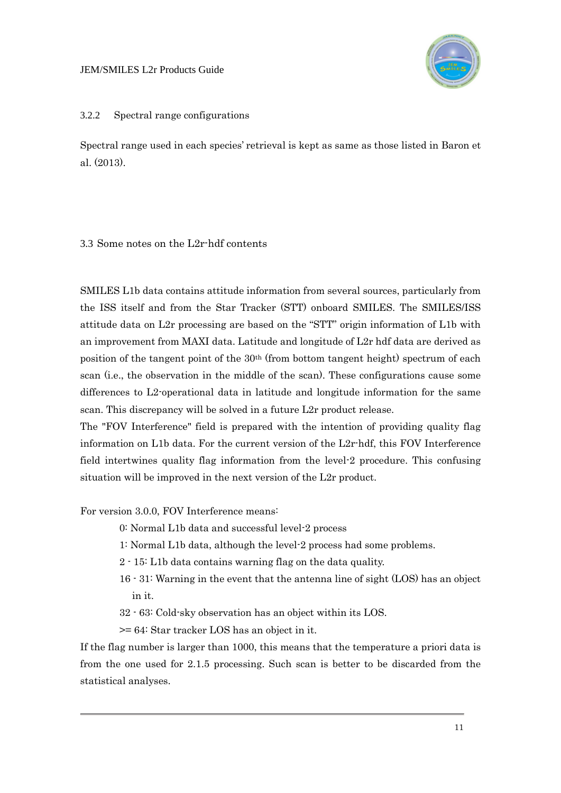

# 3.2.2 Spectral range configurations

Spectral range used in each species' retrieval is kept as same as those listed in Baron et al. (2013).

# <span id="page-12-0"></span>3.3 Some notes on the L2r-hdf contents

SMILES L1b data contains attitude information from several sources, particularly from the ISS itself and from the Star Tracker (STT) onboard SMILES. The SMILES/ISS attitude data on L2r processing are based on the "STT" origin information of L1b with an improvement from MAXI data. Latitude and longitude of L2r hdf data are derived as position of the tangent point of the 30th (from bottom tangent height) spectrum of each scan (i.e., the observation in the middle of the scan). These configurations cause some differences to L2-operational data in latitude and longitude information for the same scan. This discrepancy will be solved in a future L2r product release.

The "FOV Interference" field is prepared with the intention of providing quality flag information on L1b data. For the current version of the L2r-hdf, this FOV Interference field intertwines quality flag information from the level-2 procedure. This confusing situation will be improved in the next version of the L2r product.

For version 3.0.0, FOV Interference means:

- 0: Normal L1b data and successful level-2 process
- 1: Normal L1b data, although the level-2 process had some problems.
- 2 15: L1b data contains warning flag on the data quality.
- 16 31: Warning in the event that the antenna line of sight (LOS) has an object in it.
- 32 63: Cold-sky observation has an object within its LOS.
- >= 64: Star tracker LOS has an object in it.

If the flag number is larger than 1000, this means that the temperature a priori data is from the one used for 2.1.5 processing. Such scan is better to be discarded from the statistical analyses.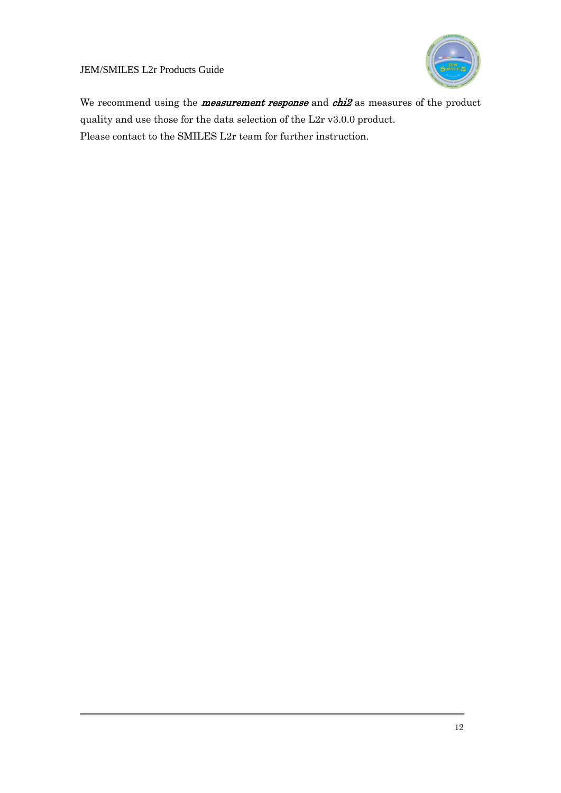

<span id="page-13-0"></span>We recommend using the *measurement response* and *chi2* as measures of the product quality and use those for the data selection of the L2r v3.0.0 product. Please contact to the SMILES L2r team for further instruction.